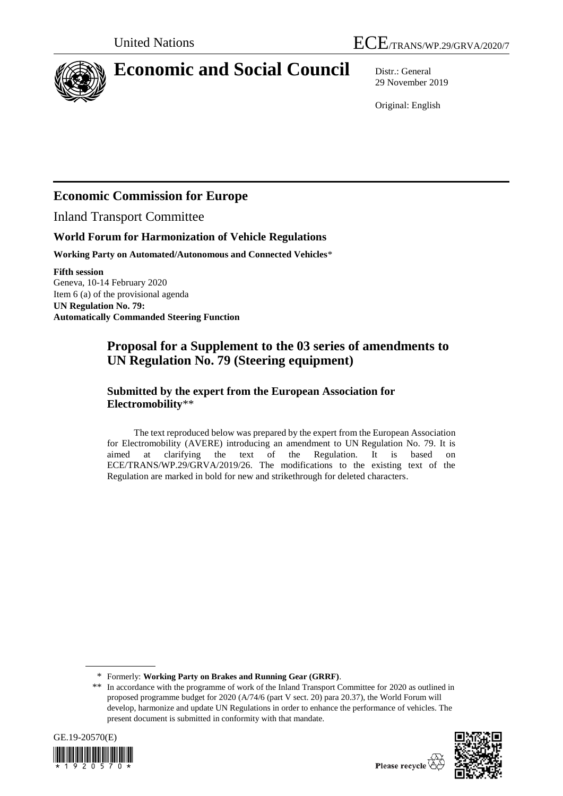

# **Economic and Social Council** Distr.: General

29 November 2019

Original: English

## **Economic Commission for Europe**

Inland Transport Committee

## **World Forum for Harmonization of Vehicle Regulations**

**Working Party on Automated/Autonomous and Connected Vehicles**\*

**Fifth session** Geneva, 10-14 February 2020 Item 6 (a) of the provisional agenda **UN Regulation No. 79: Automatically Commanded Steering Function**

## **Proposal for a Supplement to the 03 series of amendments to UN Regulation No. 79 (Steering equipment)**

## **Submitted by the expert from the European Association for Electromobility**\*\*

The text reproduced below was prepared by the expert from the European Association for Electromobility (AVERE) introducing an amendment to UN Regulation No. 79. It is aimed at clarifying the text of the Regulation. It is based on ECE/TRANS/WP.29/GRVA/2019/26. The modifications to the existing text of the Regulation are marked in bold for new and strikethrough for deleted characters.

<sup>\*\*</sup> In accordance with the programme of work of the Inland Transport Committee for 2020 as outlined in proposed programme budget for 2020 (A/74/6 (part V sect. 20) para 20.37), the World Forum will develop, harmonize and update UN Regulations in order to enhance the performance of vehicles. The present document is submitted in conformity with that mandate.





<sup>\*</sup> Formerly: **Working Party on Brakes and Running Gear (GRRF)**.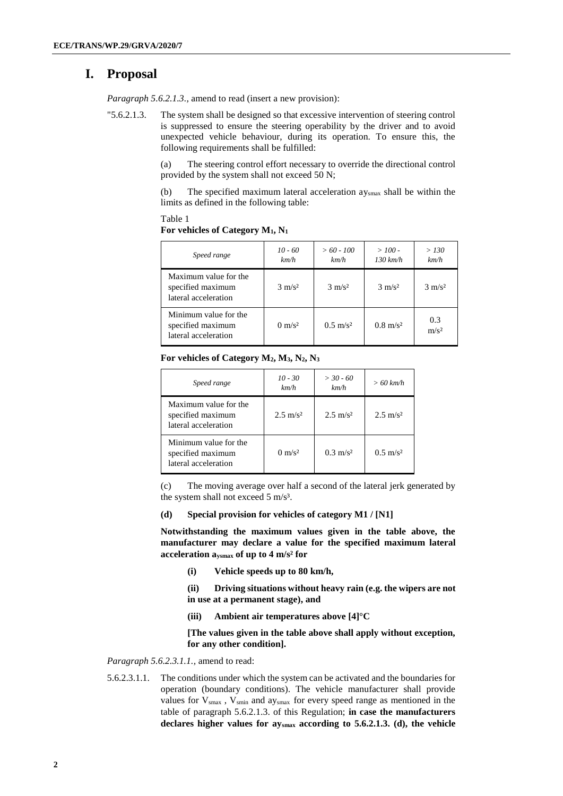## **I. Proposal**

*Paragraph 5.6.2.1.3., amend to read (insert a new provision):* 

"5.6.2.1.3. The system shall be designed so that excessive intervention of steering control is suppressed to ensure the steering operability by the driver and to avoid unexpected vehicle behaviour, during its operation. To ensure this, the following requirements shall be fulfilled:

> (a) The steering control effort necessary to override the directional control provided by the system shall not exceed 50 N;

> (b) The specified maximum lateral acceleration aysmax shall be within the limits as defined in the following table:

| Speed range                                                        | $10 - 60$<br>km/h | $>60 - 100$<br>km/h | $>100$ -<br>$130 \ km/h$ | > 130<br>km/h           |
|--------------------------------------------------------------------|-------------------|---------------------|--------------------------|-------------------------|
| Maximum value for the<br>specified maximum<br>lateral acceleration | $3 \text{ m/s}^2$ | $3 \text{ m/s}^2$   | $3 \text{ m/s}^2$        | $3 \text{ m/s}^2$       |
| Minimum value for the<br>specified maximum<br>lateral acceleration | $0 \text{ m/s}^2$ | $0.5 \text{ m/s}^2$ | $0.8 \text{ m/s}^2$      | 0.3<br>m/s <sup>2</sup> |

**For vehicles of Category M1, N<sup>1</sup>**

Table 1

#### **For vehicles of Category M2, M3, N2, N<sup>3</sup>**

| Speed range                                                        | $10 - 30$<br>km/h   | $> 30 - 60$<br>km/h | $>60$ km/h          |
|--------------------------------------------------------------------|---------------------|---------------------|---------------------|
| Maximum value for the<br>specified maximum<br>lateral acceleration | $2.5 \text{ m/s}^2$ | $2.5 \text{ m/s}^2$ | $2.5 \text{ m/s}^2$ |
| Minimum value for the<br>specified maximum<br>lateral acceleration | $0 \text{ m/s}^2$   | $0.3 \text{ m/s}^2$ | $0.5 \text{ m/s}^2$ |

(c) The moving average over half a second of the lateral jerk generated by the system shall not exceed 5 m/s<sup>3</sup>.

#### **(d) Special provision for vehicles of category M1 / [N1]**

**Notwithstanding the maximum values given in the table above, the manufacturer may declare a value for the specified maximum lateral acceleration aysmax of up to 4 m/s² for** 

**(i) Vehicle speeds up to 80 km/h,**

**(ii) Driving situations without heavy rain (e.g. the wipers are not in use at a permanent stage), and** 

**(iii) Ambient air temperatures above [4]°C**

**[The values given in the table above shall apply without exception, for any other condition].**

### *Paragraph 5.6.2.3.1.1.,* amend to read:

5.6.2.3.1.1. The conditions under which the system can be activated and the boundaries for operation (boundary conditions). The vehicle manufacturer shall provide values for  $V_{smax}$ ,  $V_{smin}$  and ay<sub>smax</sub> for every speed range as mentioned in the table of paragraph 5.6.2.1.3. of this Regulation; **in case the manufacturers declares higher values for aysmax according to 5.6.2.1.3. (d), the vehicle**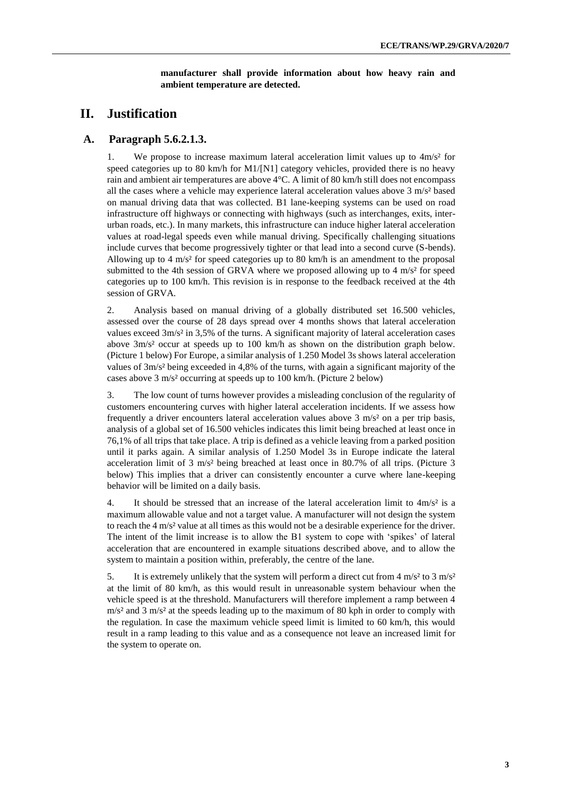**manufacturer shall provide information about how heavy rain and ambient temperature are detected.**

## **II. Justification**

### **A. Paragraph 5.6.2.1.3.**

1. We propose to increase maximum lateral acceleration limit values up to 4m/s² for speed categories up to 80 km/h for M1/[N1] category vehicles, provided there is no heavy rain and ambient air temperatures are above 4°C. A limit of 80 km/h still does not encompass all the cases where a vehicle may experience lateral acceleration values above 3 m/s² based on manual driving data that was collected. B1 lane-keeping systems can be used on road infrastructure off highways or connecting with highways (such as interchanges, exits, interurban roads, etc.). In many markets, this infrastructure can induce higher lateral acceleration values at road-legal speeds even while manual driving. Specifically challenging situations include curves that become progressively tighter or that lead into a second curve (S-bends). Allowing up to 4 m/s<sup>2</sup> for speed categories up to 80 km/h is an amendment to the proposal submitted to the 4th session of GRVA where we proposed allowing up to 4  $\text{m/s}^2$  for speed categories up to 100 km/h. This revision is in response to the feedback received at the 4th session of GRVA.

2. Analysis based on manual driving of a globally distributed set 16.500 vehicles, assessed over the course of 28 days spread over 4 months shows that lateral acceleration values exceed 3m/s² in 3,5% of the turns. A significant majority of lateral acceleration cases above 3m/s² occur at speeds up to 100 km/h as shown on the distribution graph below. (Picture 1 below) For Europe, a similar analysis of 1.250 Model 3s shows lateral acceleration values of 3m/s² being exceeded in 4,8% of the turns, with again a significant majority of the cases above 3 m/s² occurring at speeds up to 100 km/h. (Picture 2 below)

3. The low count of turns however provides a misleading conclusion of the regularity of customers encountering curves with higher lateral acceleration incidents. If we assess how frequently a driver encounters lateral acceleration values above 3 m/s<sup>2</sup> on a per trip basis, analysis of a global set of 16.500 vehicles indicates this limit being breached at least once in 76,1% of all trips that take place. A trip is defined as a vehicle leaving from a parked position until it parks again. A similar analysis of 1.250 Model 3s in Europe indicate the lateral acceleration limit of 3 m/s² being breached at least once in 80.7% of all trips. (Picture 3 below) This implies that a driver can consistently encounter a curve where lane-keeping behavior will be limited on a daily basis.

4. It should be stressed that an increase of the lateral acceleration limit to  $4m/s<sup>2</sup>$  is a maximum allowable value and not a target value. A manufacturer will not design the system to reach the 4 m/s² value at all times as this would not be a desirable experience for the driver. The intent of the limit increase is to allow the B1 system to cope with 'spikes' of lateral acceleration that are encountered in example situations described above, and to allow the system to maintain a position within, preferably, the centre of the lane.

5. It is extremely unlikely that the system will perform a direct cut from  $4 \text{ m/s}^2$  to  $3 \text{ m/s}^2$ at the limit of 80 km/h, as this would result in unreasonable system behaviour when the vehicle speed is at the threshold. Manufacturers will therefore implement a ramp between 4  $m/s<sup>2</sup>$  and 3 m/s<sup>2</sup> at the speeds leading up to the maximum of 80 kph in order to comply with the regulation. In case the maximum vehicle speed limit is limited to 60 km/h, this would result in a ramp leading to this value and as a consequence not leave an increased limit for the system to operate on.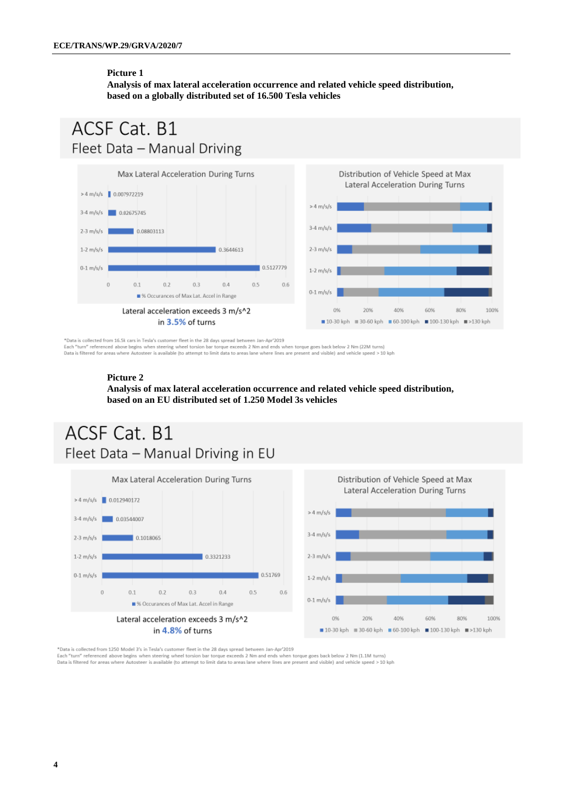#### **Picture 1**

**Analysis of max lateral acceleration occurrence and related vehicle speed distribution, based on a globally distributed set of 16.500 Tesla vehicles**

## ACSF Cat. B1 Fleet Data - Manual Driving



\*Data is collected from 16.5k cars in Tesla's customer fleet in the 28 days spread between Jan-Apr'2019 Each "turn" referenced above begins when steering wheel torsion bar torque exceeds 2 Nm and ends when torque goes back below 2 Nm (22M turns)<br>Data is filtered for areas where Autosteer is available (to attempt to limit dat

#### **Picture 2**

**Analysis of max lateral acceleration occurrence and related vehicle speed distribution, based on an EU distributed set of 1.250 Model 3s vehicles**

# ACSF Cat. B1 Fleet Data - Manual Driving in EU





\*Data is collected from 1250 Model 3's in Tesla's customer fleet in the 28 days spread between Jan-Apr'2019<br>Each "turn" referenced above begins when steering wheel torsion bar torque exceeds 2 Nm and ends when torque goes

Data is filtered for areas where Autosteer is available (to attempt to limit data to areas lane where lines are present and visible) and vehicle speed > 10 kph